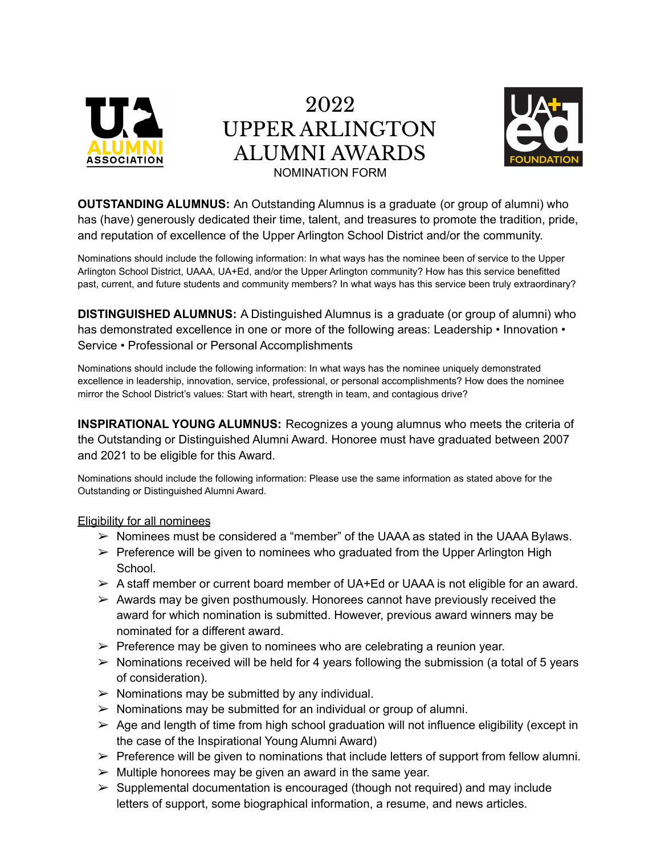

2022 UPPER ARLINGTON ALUMNI AWARDS NOMINATION FORM



**OUTSTANDING ALUMNUS:** An Outstanding Alumnus is a graduate (or group of alumni) who has (have) generously dedicated their time, talent, and treasures to promote the tradition, pride, and reputation of excellence of the Upper Arlington School District and/or the community.

Nominations should include the following information: In what ways has the nominee been of service to the Upper Arlington School District, UAAA, UA+Ed, and/or the Upper Arlington community? How has this service benefitted past, current, and future students and community members? In what ways has this service been truly extraordinary?

**DISTINGUISHED ALUMNUS:** A Distinguished Alumnus is a graduate (or group of alumni) who has demonstrated excellence in one or more of the following areas: Leadership • Innovation • Service • Professional or Personal Accomplishments

Nominations should include the following information: In what ways has the nominee uniquely demonstrated excellence in leadership, innovation, service, professional, or personal accomplishments? How does the nominee mirror the School District's values: Start with heart, strength in team, and contagious drive?

**INSPIRATIONAL YOUNG ALUMNUS:** Recognizes a young alumnus who meets the criteria of the Outstanding or Distinguished Alumni Award. Honoree must have graduated between 2007 and 2021 to be eligible for this Award.

Nominations should include the following information: Please use the same information as stated above for the Outstanding or Distinguished Alumni Award.

## Eligibility for all nominees

- $\triangleright$  Nominees must be considered a "member" of the UAAA as stated in the UAAA Bylaws.
- $\triangleright$  Preference will be given to nominees who graduated from the Upper Arlington High School.
- $\triangleright$  A staff member or current board member of UA+Ed or UAAA is not eligible for an award.
- $\triangleright$  Awards may be given posthumously. Honorees cannot have previously received the award for which nomination is submitted. However, previous award winners may be nominated for a different award.
- $\triangleright$  Preference may be given to nominees who are celebrating a reunion year.
- $\triangleright$  Nominations received will be held for 4 years following the submission (a total of 5 years of consideration).
- $\triangleright$  Nominations may be submitted by any individual.
- $\triangleright$  Nominations may be submitted for an individual or group of alumni.
- $\geq$  Age and length of time from high school graduation will not influence eligibility (except in the case of the Inspirational Young Alumni Award)
- $\triangleright$  Preference will be given to nominations that include letters of support from fellow alumni.
- $\triangleright$  Multiple honorees may be given an award in the same year.
- $\triangleright$  Supplemental documentation is encouraged (though not required) and may include letters of support, some biographical information, a resume, and news articles.